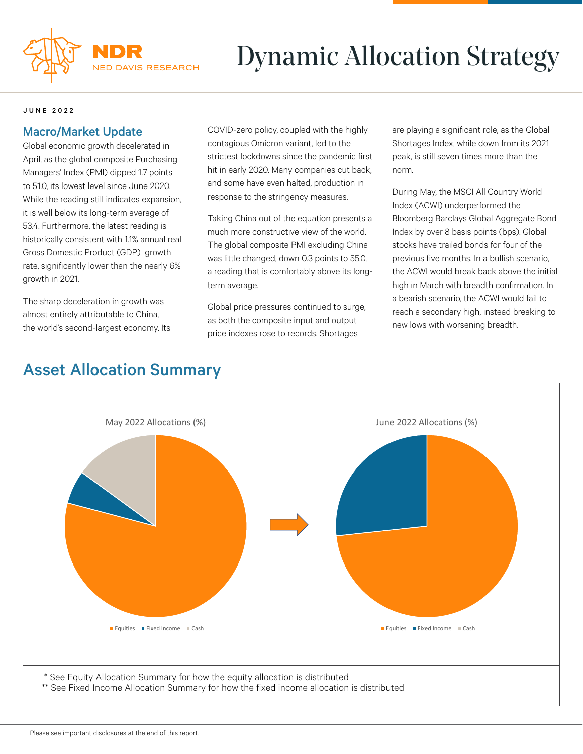

# Dynamic Allocation Strategy

### JUNE 2022

### Macro/Market Update

Global economic growth decelerated in April, as the global composite Purchasing Managers' Index (PMI) dipped 1.7 points to 51.0, its lowest level since June 2020. While the reading still indicates expansion, it is well below its long-term average of 53.4. Furthermore, the latest reading is historically consistent with 1.1% annual real Gross Domestic Product (GDP) growth rate, significantly lower than the nearly 6% growth in 2021.

The sharp deceleration in growth was almost entirely attributable to China, the world's second-largest economy. Its COVID-zero policy, coupled with the highly contagious Omicron variant, led to the strictest lockdowns since the pandemic first hit in early 2020. Many companies cut back, and some have even halted, production in response to the stringency measures.

Taking China out of the equation presents a much more constructive view of the world. The global composite PMI excluding China was little changed, down 0.3 points to 55.0, a reading that is comfortably above its longterm average.

Global price pressures continued to surge, as both the composite input and output price indexes rose to records. Shortages

are playing a significant role, as the Global Shortages Index, while down from its 2021 peak, is still seven times more than the norm.

During May, the MSCI All Country World Index (ACWI) underperformed the Bloomberg Barclays Global Aggregate Bond Index by over 8 basis points (bps). Global stocks have trailed bonds for four of the previous five months. In a bullish scenario, the ACWI would break back above the initial high in March with breadth confirmation. In a bearish scenario, the ACWI would fail to reach a secondary high, instead breaking to new lows with worsening breadth.

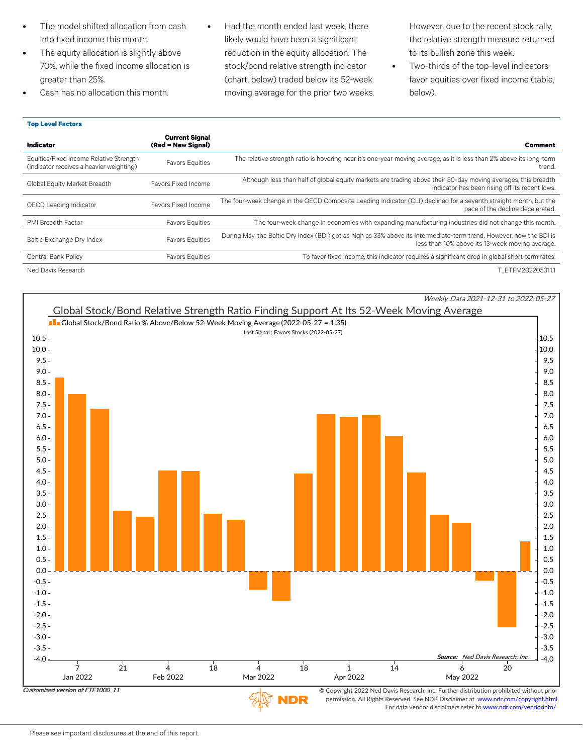- The model shifted allocation from cash into fixed income this month.
- The equity allocation is slightly above 70%, while the fixed income allocation is greater than 25%.
- Cash has no allocation this month.
- Had the month ended last week, there likely would have been a significant reduction in the equity allocation. The stock/bond relative strength indicator (chart, below) traded below its 52-week moving average for the prior two weeks.

However, due to the recent stock rally, the relative strength measure returned to its bullish zone this week.

• Two-thirds of the top-level indicators favor equities over fixed income (table, below).

| Indicator                                                                           | <b>Current Signal</b><br>(Red = New Signal) | <b>Comment</b>                                                                                                                                                          |
|-------------------------------------------------------------------------------------|---------------------------------------------|-------------------------------------------------------------------------------------------------------------------------------------------------------------------------|
| Equities/Fixed Income Relative Strength<br>(indicator receives a heavier weighting) | <b>Favors Equities</b>                      | The relative strength ratio is hovering near it's one-year moving average, as it is less than 2% above its long-term<br>trend.                                          |
| Global Equity Market Breadth                                                        | Favors Fixed Income                         | Although less than half of global equity markets are trading above their 50-day moving averages, this breadth<br>indicator has been rising off its recent lows.         |
| OECD Leading Indicator                                                              | Favors Fixed Income                         | The four-week change in the OECD Composite Leading Indicator (CLI) declined for a seventh straight month, but the<br>pace of the decline decelerated.                   |
| <b>PMI Breadth Factor</b>                                                           | <b>Favors Equities</b>                      | The four-week change in economies with expanding manufacturing industries did not change this month.                                                                    |
| Baltic Exchange Dry Index                                                           | <b>Favors Equities</b>                      | During May, the Baltic Dry index (BDI) got as high as 33% above its intermediate-term trend. However, now the BDI is<br>less than 10% above its 13-week moving average. |
| Central Bank Policy                                                                 | <b>Favors Equities</b>                      | To favor fixed income, this indicator requires a significant drop in global short-term rates.                                                                           |
| Ned Davis Research                                                                  |                                             | T ETFM202205311.1                                                                                                                                                       |

**Top Level Factors**



VDR

permission. All Rights Reserved. See NDR Disclaimer at www.ndr.com/copyright.html. For data vendor disclaimers refer to www.ndr.com/vendorinfo/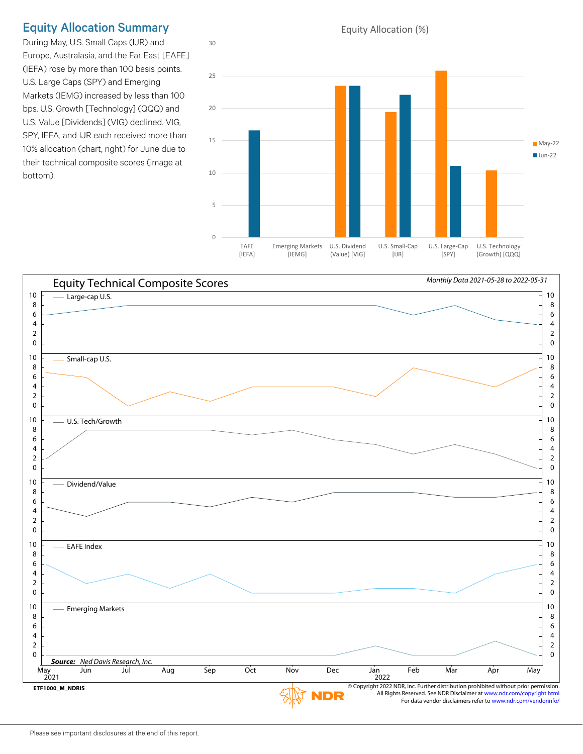## Equity Allocation Summary

During May, U.S. Small Caps (IJR) and Europe, Australasia, and the Far East [EAFE] (IEFA) rose by more than 100 basis points. U.S. Large Caps (SPY) and Emerging Markets (IEMG) increased by less than 100 bps. U.S. Growth [Technology] (QQQ) and U.S. Value [Dividends] (VIG) declined. VIG, SPY, IEFA, and IJR each received more than 10% allocation (chart, right) for June due to their technical composite scores (image at bottom).



#### Equity Technical Composite Scores *Monthly Data 2021-05-28 to 2022-05-31* Large-cap U.S.  $\frac{1}{10}$  . The contract of the contract of the contract of the contract of the contract of the contract of the contract of the contract of the contract of the contract of the contract of the contract of t Small-cap U.S. 10  $\overline{2}$  U.S. Tech/Growth the contract of the contract of the contract of the contract of the contract of the contract of the contract of the contract of the contract of the contract of the contract of the contract of the contract  $\blacksquare$ Dividend/Value  $\blacksquare$   $\blacksquare$  EAFE Index  $\blacksquare$  Emerging Markets  $\overline{10}$  10 *Source: Ned Davis Research, Inc.*  $\overline{May}$  2021 May Jun Jul Aug Sep Oct Nov Dec 2022 Jan Feb Mar Apr May © Copyright 2022 NDR, Inc. Further distribution prohibited without prior permission. **ETF1000\_M\_NDRIS** All Rights Reserved. See NDR Disclaimer at www.ndr.com/copyright.html NDR For data vendor disclaimers refer to www.ndr.com/vendorinfo/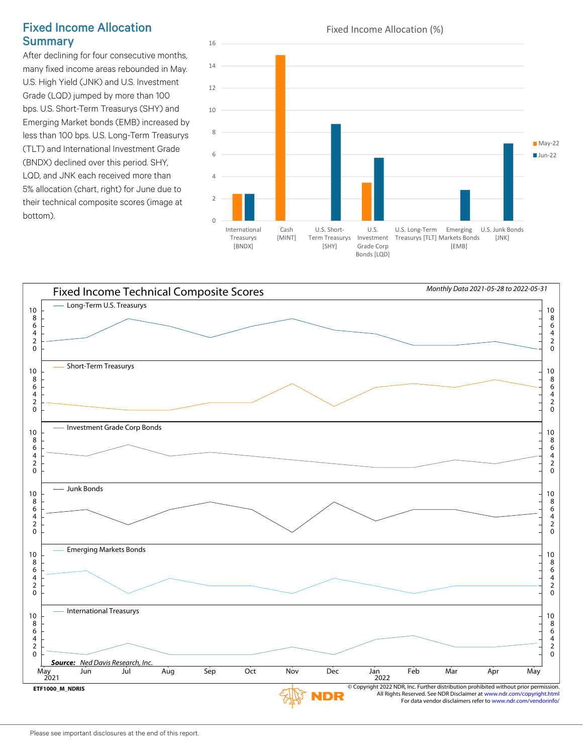### Fixed Income Allocation **Summary**

After declining for four consecutive months, many fixed income areas rebounded in May. U.S. High Yield (JNK) and U.S. Investment Grade (LQD) jumped by more than 100 bps. U.S. Short-Term Treasurys (SHY) and Emerging Market bonds (EMB) increased by less than 100 bps. U.S. Long-Term Treasurys (TLT) and International Investment Grade (BNDX) declined over this period. SHY, LQD, and JNK each received more than 5% allocation (chart, right) for June due to their technical composite scores (image at  $b$ ottom).  $\qquad \qquad \qquad$ 



Bonds [LQD]



Please see important disclosures at the end of this report.